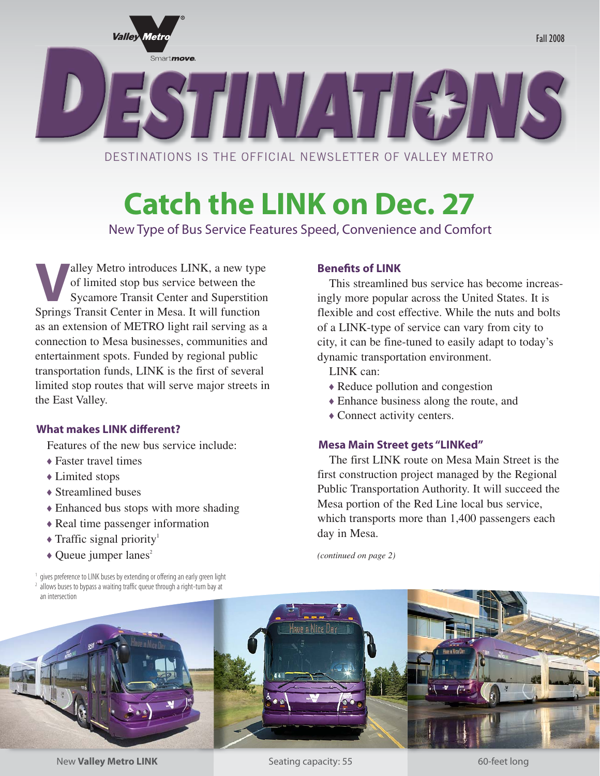

# **Catch the LINK on Dec. 27**

New Type of Bus Service Features Speed, Convenience and Comfort

Example 19 Metro introduces LINK, a new type<br>of limited stop bus service between the<br>Sycamore Transit Center and Superstition of limited stop bus service between the Sycamore Transit Center and Superstition Springs Transit Center in Mesa. It will function as an extension of METRO light rail serving as a connection to Mesa businesses, communities and entertainment spots. Funded by regional public transportation funds, LINK is the first of several limited stop routes that will serve major streets in the East Valley.

#### **What makes LINK different?**

Features of the new bus service include:

- Faster travel times
- Limited stops
- Streamlined buses
- Enhanced bus stops with more shading
- Real time passenger information
- $\triangleleft$  Traffic signal priority<sup>1</sup>
- $\triangle$  Queue jumper lanes<sup>2</sup>

## **Benefits of LINK**

This streamlined bus service has become increasingly more popular across the United States. It is flexible and cost effective. While the nuts and bolts of a LINK-type of service can vary from city to city, it can be fine-tuned to easily adapt to today's dynamic transportation environment.

LINK can:

- Reduce pollution and congestion
- Enhance business along the route, and
- Connect activity centers.

#### **Mesa Main Street gets "LINKed"**

The first LINK route on Mesa Main Street is the first construction project managed by the Regional Public Transportation Authority. It will succeed the Mesa portion of the Red Line local bus service, which transports more than 1,400 passengers each day in Mesa.

*(continued on page 2)*



New **Valley Metro LINK 60-feet long capacity: 55** 60-feet long

Seating capacity: 55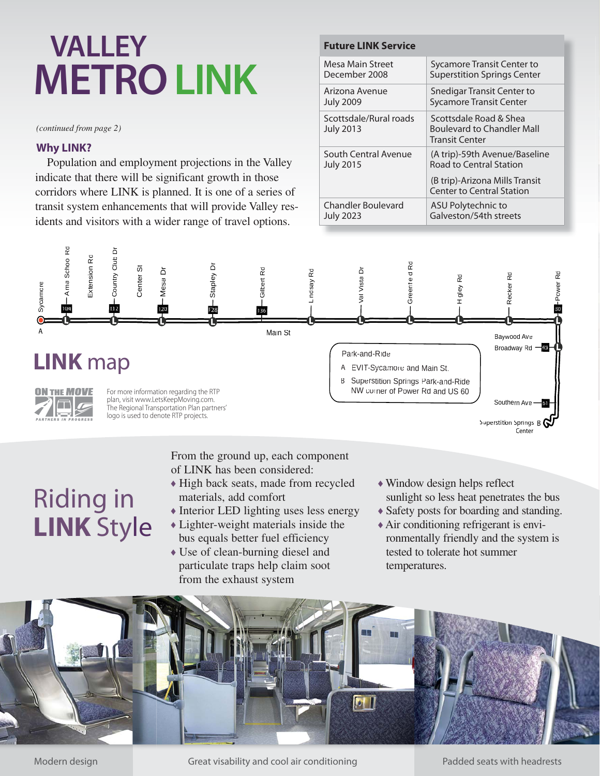# **METROLINK VALLEY**

*(continued from page 2)* 

### **Why LINK?**

Population and employment projections in the Valley indicate that there will be significant growth in those corridors where LINK is planned. It is one of a series of transit system enhancements that will provide Valley residents and visitors with a wider range of travel options.

#### **Future LINK Service**

| Mesa Main Street                           | Sycamore Transit Center to                                                           |
|--------------------------------------------|--------------------------------------------------------------------------------------|
| December 2008                              | <b>Superstition Springs Center</b>                                                   |
| Arizona Avenue                             | Snedigar Transit Center to                                                           |
| <b>July 2009</b>                           | <b>Sycamore Transit Center</b>                                                       |
| Scottsdale/Rural roads<br><b>July 2013</b> | Scottsdale Road & Shea<br><b>Boulevard to Chandler Mall</b><br><b>Transit Center</b> |
| South Central Avenue                       | (A trip)-59th Avenue/Baseline                                                        |
| <b>July 2015</b>                           | <b>Road to Central Station</b>                                                       |
|                                            | (B trip)-Arizona Mills Transit<br>Center to Central Station                          |
| <b>Chandler Boulevard</b>                  | ASU Polytechnic to                                                                   |
| <b>July 2023</b>                           | Galveston/54th streets                                                               |



# Riding in **LINK** Style

From the ground up, each component of LINK has been considered:

- High back seats, made from recycled materials, add comfort
- Interior LED lighting uses less energy Lighter-weight materials inside the
- bus equals better fuel efficiency Use of clean-burning diesel and
- particulate traps help claim soot from the exhaust system
- Window design helps reflect sunlight so less heat penetrates the bus
- Safety posts for boarding and standing.
- Air conditioning refrigerant is environmentally friendly and the system is tested to tolerate hot summer temperatures.



Modern design **Great visability and cool air conditioning** Padded seats with headrests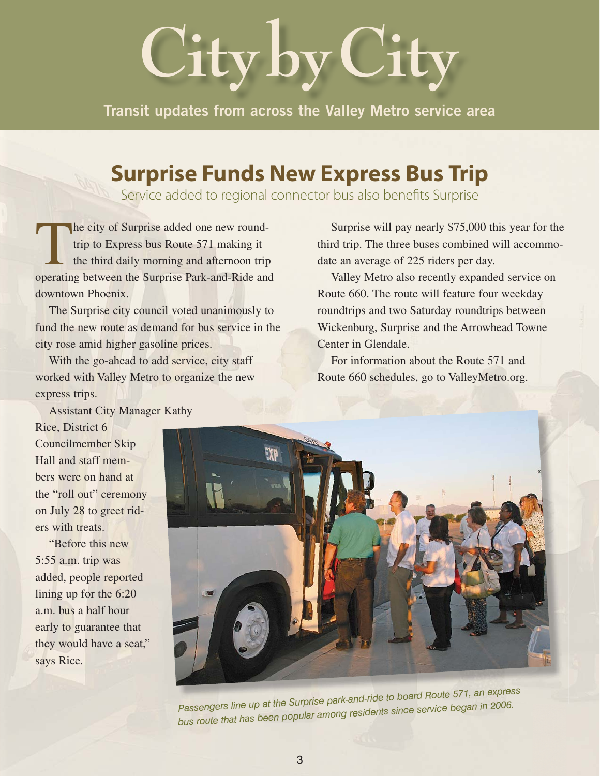# **City by City**

**Transit updates from across the Valley Metro service area**

## **Surprise Funds New Express Bus Trip**

Service added to regional connector bus also benefits Surprise

The city of Surprise added one new round-<br>trip to Express bus Route 571 making it<br>the third daily morning and afternoon trip<br>operating between the Surprise Park-and-Ride and trip to Express bus Route 571 making it the third daily morning and afternoon trip operating between the Surprise Park-and-Ride and downtown Phoenix.

 The Surprise city council voted unanimously to fund the new route as demand for bus service in the city rose amid higher gasoline prices.

With the go-ahead to add service, city staff worked with Valley Metro to organize the new express trips.

 Surprise will pay nearly \$75,000 this year for the third trip. The three buses combined will accommodate an average of 225 riders per day.

 Valley Metro also recently expanded service on Route 660. The route will feature four weekday roundtrips and two Saturday roundtrips between Wickenburg, Surprise and the Arrowhead Towne Center in Glendale.

 For information about the Route 571 and Route 660 schedules, go to ValleyMetro.org.

 Assistant City Manager Kathy Rice, District 6 Councilmember Skip Hall and staff members were on hand at the "roll out" ceremony on July 28 to greet riders with treats.

 "Before this new 5:55 a.m. trip was added, people reported lining up for the 6:20 a.m. bus a half hour early to guarantee that they would have a seat," says Rice.



*Passengers line up at the Surprise park-and-ride to board Route 571, an express bus route that has been popular among residents since service began in 2006.*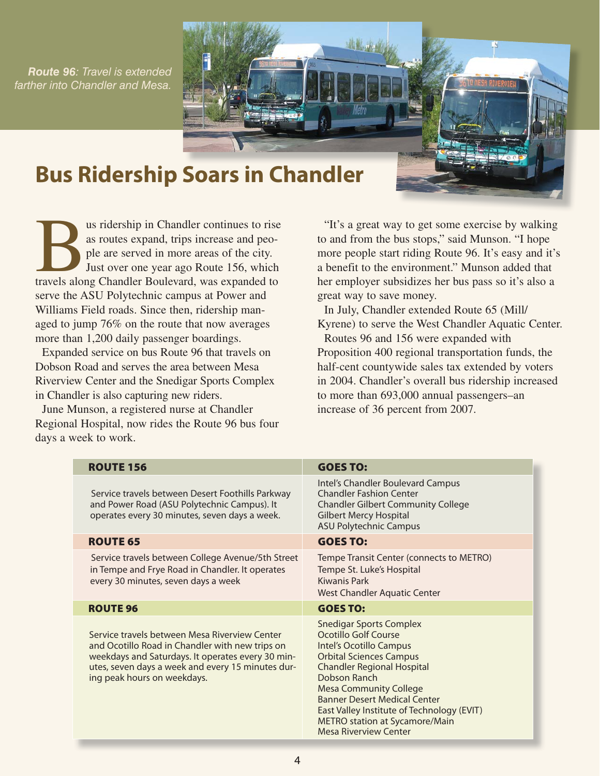*Route 96: Travel is extended farther into Chandler and Mesa.*



## **Bus Ridership Soars in Chandler**

us ridership in Chandler continues to rise<br>
as routes expand, trips increase and peo-<br>
ple are served in more areas of the city.<br>
Just over one year ago Route 156, which<br>
travels along Chandler Boulevard, was expanded to as routes expand, trips increase and people are served in more areas of the city. Just over one year ago Route 156, which serve the ASU Polytechnic campus at Power and Williams Field roads. Since then, ridership managed to jump 76% on the route that now averages more than 1,200 daily passenger boardings.

Expanded service on bus Route 96 that travels on Dobson Road and serves the area between Mesa Riverview Center and the Snedigar Sports Complex in Chandler is also capturing new riders.

June Munson, a registered nurse at Chandler Regional Hospital, now rides the Route 96 bus four days a week to work.

"It's a great way to get some exercise by walking to and from the bus stops," said Munson. "I hope more people start riding Route 96. It's easy and it's a benefit to the environment." Munson added that her employer subsidizes her bus pass so it's also a great way to save money.

In July, Chandler extended Route 65 (Mill/ Kyrene) to serve the West Chandler Aquatic Center.

Routes 96 and 156 were expanded with Proposition 400 regional transportation funds, the half-cent countywide sales tax extended by voters in 2004. Chandler's overall bus ridership increased to more than 693,000 annual passengers–an increase of 36 percent from 2007.

| <b>ROUTE 156</b>                                                                                                                                                                                                                          | <b>GOES TO:</b>                                                                                                                                                                                                                                                                                                                                                         |
|-------------------------------------------------------------------------------------------------------------------------------------------------------------------------------------------------------------------------------------------|-------------------------------------------------------------------------------------------------------------------------------------------------------------------------------------------------------------------------------------------------------------------------------------------------------------------------------------------------------------------------|
| Service travels between Desert Foothills Parkway<br>and Power Road (ASU Polytechnic Campus). It<br>operates every 30 minutes, seven days a week.                                                                                          | Intel's Chandler Boulevard Campus<br><b>Chandler Fashion Center</b><br><b>Chandler Gilbert Community College</b><br><b>Gilbert Mercy Hospital</b><br><b>ASU Polytechnic Campus</b>                                                                                                                                                                                      |
| <b>ROUTE 65</b>                                                                                                                                                                                                                           | <b>GOES TO:</b>                                                                                                                                                                                                                                                                                                                                                         |
| Service travels between College Avenue/5th Street<br>in Tempe and Frye Road in Chandler. It operates<br>every 30 minutes, seven days a week                                                                                               | Tempe Transit Center (connects to METRO)<br>Tempe St. Luke's Hospital<br>Kiwanis Park<br>West Chandler Aquatic Center                                                                                                                                                                                                                                                   |
| <b>ROUTE 96</b>                                                                                                                                                                                                                           | <b>GOES TO:</b>                                                                                                                                                                                                                                                                                                                                                         |
| Service travels between Mesa Riverview Center<br>and Ocotillo Road in Chandler with new trips on<br>weekdays and Saturdays. It operates every 30 min-<br>utes, seven days a week and every 15 minutes dur-<br>ing peak hours on weekdays. | <b>Snedigar Sports Complex</b><br>Ocotillo Golf Course<br>Intel's Ocotillo Campus<br><b>Orbital Sciences Campus</b><br><b>Chandler Regional Hospital</b><br>Dobson Ranch<br><b>Mesa Community College</b><br><b>Banner Desert Medical Center</b><br>East Valley Institute of Technology (EVIT)<br><b>METRO station at Sycamore/Main</b><br><b>Mesa Riverview Center</b> |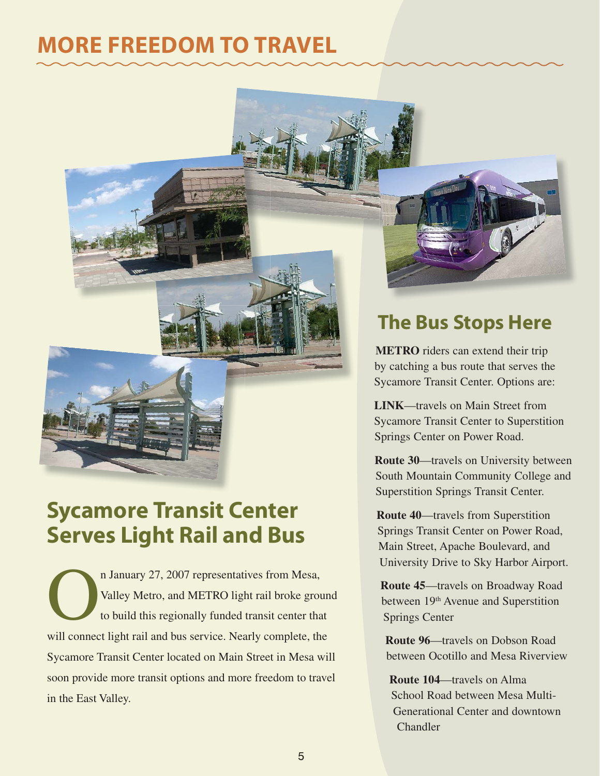# **MORE FREEDOM TO TRAVEL**



n January 27, 2007 representatives from Mesa,<br>Valley Metro, and METRO light rail broke grou<br>to build this regionally funded transit center that<br>will connect light rail and bus service. Nearly complete, the Valley Metro, and METRO light rail broke ground to build this regionally funded transit center that will connect light rail and bus service. Nearly complete, the Sycamore Transit Center located on Main Street in Mesa will soon provide more transit options and more freedom to travel in the East Valley.

## **The Bus Stops Here**

**METRO** riders can extend their trip by catching a bus route that serves the Sycamore Transit Center. Options are:

**LINK**—travels on Main Street from Sycamore Transit Center to Superstition Springs Center on Power Road.

**Route 30**—travels on University between South Mountain Community College and Superstition Springs Transit Center.

**Route 40**—travels from Superstition Springs Transit Center on Power Road, Main Street, Apache Boulevard, and University Drive to Sky Harbor Airport.

**Route 45**—travels on Broadway Road between 19<sup>th</sup> Avenue and Superstition Springs Center

**Route 96**—travels on Dobson Road between Ocotillo and Mesa Riverview

**Route 104**—travels on Alma School Road between Mesa Multi-Generational Center and downtown Chandler